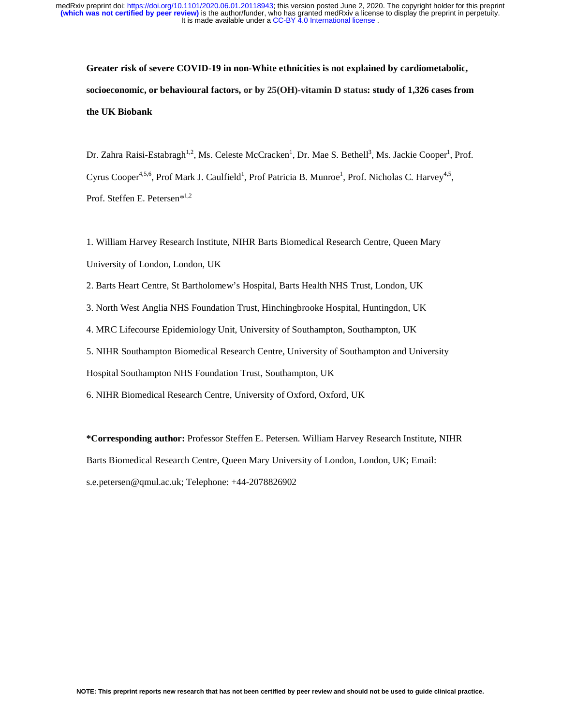**Greater risk of severe COVID-19 in non-White ethnicities is not explained by cardiometabolic, socioeconomic, or behavioural factors, or by 25(OH)-vitamin D status: study of 1,326 cases from the UK Biobank**

Dr. Zahra Raisi-Estabragh<sup>1,2</sup>, Ms. Celeste McCracken<sup>1</sup>, Dr. Mae S. Bethell<sup>3</sup>, Ms. Jackie Cooper<sup>1</sup>, Prof. Cyrus Cooper<sup>4,5,6</sup>, Prof Mark J. Caulfield<sup>1</sup>, Prof Patricia B. Munroe<sup>1</sup>, Prof. Nicholas C. Harvey<sup>4,5</sup>, Prof. Steffen E. Petersen\*1,2

1. William Harvey Research Institute, NIHR Barts Biomedical Research Centre, Queen Mary University of London, London, UK

2. Barts Heart Centre, St Bartholomew's Hospital, Barts Health NHS Trust, London, UK

3. North West Anglia NHS Foundation Trust, Hinchingbrooke Hospital, Huntingdon, UK

4. MRC Lifecourse Epidemiology Unit, University of Southampton, Southampton, UK

5. NIHR Southampton Biomedical Research Centre, University of Southampton and University

Hospital Southampton NHS Foundation Trust, Southampton, UK

6. NIHR Biomedical Research Centre, University of Oxford, Oxford, UK

**\*Corresponding author:** Professor Steffen E. Petersen. William Harvey Research Institute, NIHR Barts Biomedical Research Centre, Queen Mary University of London, London, UK; Email: s.e.petersen@qmul.ac.uk; Telephone: +44-2078826902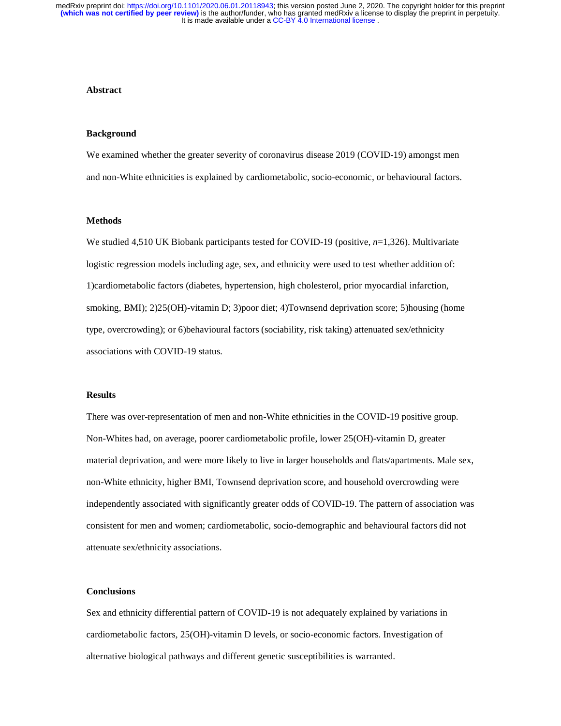## **Abstract**

#### **Background**

We examined whether the greater severity of coronavirus disease 2019 (COVID-19) amongst men and non-White ethnicities is explained by cardiometabolic, socio-economic, or behavioural factors.

## **Methods**

We studied 4,510 UK Biobank participants tested for COVID-19 (positive, *n*=1,326). Multivariate logistic regression models including age, sex, and ethnicity were used to test whether addition of: 1)cardiometabolic factors (diabetes, hypertension, high cholesterol, prior myocardial infarction, smoking, BMI); 2)25(OH)-vitamin D; 3)poor diet; 4)Townsend deprivation score; 5)housing (home type, overcrowding); or 6)behavioural factors (sociability, risk taking) attenuated sex/ethnicity associations with COVID-19 status.

## **Results**

There was over-representation of men and non-White ethnicities in the COVID-19 positive group. Non-Whites had, on average, poorer cardiometabolic profile, lower 25(OH)-vitamin D, greater material deprivation, and were more likely to live in larger households and flats/apartments. Male sex, non-White ethnicity, higher BMI, Townsend deprivation score, and household overcrowding were independently associated with significantly greater odds of COVID-19. The pattern of association was consistent for men and women; cardiometabolic, socio-demographic and behavioural factors did not attenuate sex/ethnicity associations.

## **Conclusions**

Sex and ethnicity differential pattern of COVID-19 is not adequately explained by variations in cardiometabolic factors, 25(OH)-vitamin D levels, or socio-economic factors. Investigation of alternative biological pathways and different genetic susceptibilities is warranted.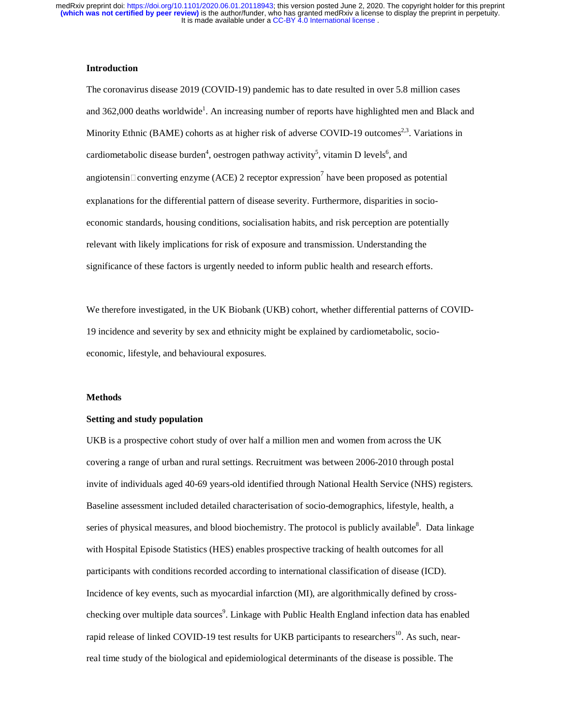## **Introduction**

The coronavirus disease 2019 (COVID-19) pandemic has to date resulted in over 5.8 million cases and 362,000 deaths worldwide<sup>1</sup>. An increasing number of reports have highlighted men and Black and Minority Ethnic (BAME) cohorts as at higher risk of adverse COVID-19 outcomes<sup>2,3</sup>. Variations in cardiometabolic disease burden<sup>4</sup>, oestrogen pathway activity<sup>5</sup>, vitamin D levels<sup>6</sup>, and angiotensin $\Box$ converting enzyme (ACE) 2 receptor expression<sup>7</sup> have been proposed as potential explanations for the differential pattern of disease severity. Furthermore, disparities in socioeconomic standards, housing conditions, socialisation habits, and risk perception are potentially relevant with likely implications for risk of exposure and transmission. Understanding the significance of these factors is urgently needed to inform public health and research efforts.

We therefore investigated, in the UK Biobank (UKB) cohort, whether differential patterns of COVID-19 incidence and severity by sex and ethnicity might be explained by cardiometabolic, socioeconomic, lifestyle, and behavioural exposures.

#### **Methods**

#### **Setting and study population**

UKB is a prospective cohort study of over half a million men and women from across the UK covering a range of urban and rural settings. Recruitment was between 2006-2010 through postal invite of individuals aged 40-69 years-old identified through National Health Service (NHS) registers. Baseline assessment included detailed characterisation of socio-demographics, lifestyle, health, a series of physical measures, and blood biochemistry. The protocol is publicly available<sup>8</sup>. Data linkage with Hospital Episode Statistics (HES) enables prospective tracking of health outcomes for all participants with conditions recorded according to international classification of disease (ICD). Incidence of key events, such as myocardial infarction (MI), are algorithmically defined by crosschecking over multiple data sources<sup>9</sup>. Linkage with Public Health England infection data has enabled rapid release of linked COVID-19 test results for UKB participants to researchers<sup>10</sup>. As such, nearreal time study of the biological and epidemiological determinants of the disease is possible. The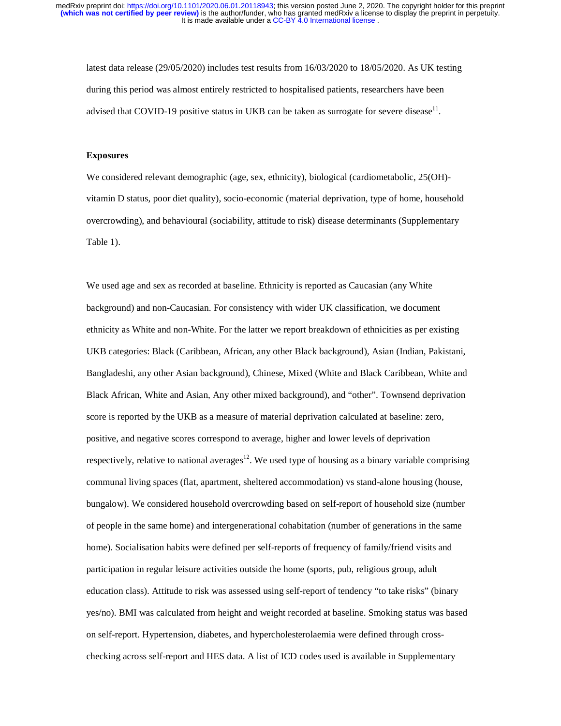latest data release (29/05/2020) includes test results from 16/03/2020 to 18/05/2020. As UK testing during this period was almost entirely restricted to hospitalised patients, researchers have been advised that COVID-19 positive status in UKB can be taken as surrogate for severe disease<sup>11</sup>.

# **Exposures**

We considered relevant demographic (age, sex, ethnicity), biological (cardiometabolic, 25(OH) vitamin D status, poor diet quality), socio-economic (material deprivation, type of home, household overcrowding), and behavioural (sociability, attitude to risk) disease determinants (Supplementary Table 1).

We used age and sex as recorded at baseline. Ethnicity is reported as Caucasian (any White background) and non-Caucasian. For consistency with wider UK classification, we document ethnicity as White and non-White. For the latter we report breakdown of ethnicities as per existing UKB categories: Black (Caribbean, African, any other Black background), Asian (Indian, Pakistani, Bangladeshi, any other Asian background), Chinese, Mixed (White and Black Caribbean, White and Black African, White and Asian, Any other mixed background), and "other". Townsend deprivation score is reported by the UKB as a measure of material deprivation calculated at baseline: zero, positive, and negative scores correspond to average, higher and lower levels of deprivation respectively, relative to national averages<sup>12</sup>. We used type of housing as a binary variable comprising communal living spaces (flat, apartment, sheltered accommodation) vs stand-alone housing (house, bungalow). We considered household overcrowding based on self-report of household size (number of people in the same home) and intergenerational cohabitation (number of generations in the same home). Socialisation habits were defined per self-reports of frequency of family/friend visits and participation in regular leisure activities outside the home (sports, pub, religious group, adult education class). Attitude to risk was assessed using self-report of tendency "to take risks" (binary yes/no). BMI was calculated from height and weight recorded at baseline. Smoking status was based on self-report. Hypertension, diabetes, and hypercholesterolaemia were defined through crosschecking across self-report and HES data. A list of ICD codes used is available in Supplementary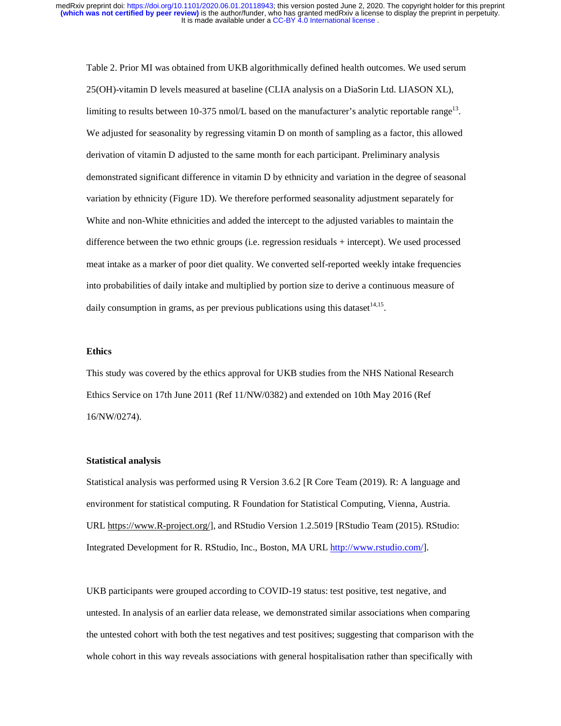Table 2. Prior MI was obtained from UKB algorithmically defined health outcomes. We used serum 25(OH)-vitamin D levels measured at baseline (CLIA analysis on a DiaSorin Ltd. LIASON XL), limiting to results between 10-375 nmol/L based on the manufacturer's analytic reportable range<sup>13</sup>. We adjusted for seasonality by regressing vitamin D on month of sampling as a factor, this allowed derivation of vitamin D adjusted to the same month for each participant. Preliminary analysis demonstrated significant difference in vitamin D by ethnicity and variation in the degree of seasonal variation by ethnicity (Figure 1D). We therefore performed seasonality adjustment separately for White and non-White ethnicities and added the intercept to the adjusted variables to maintain the difference between the two ethnic groups (i.e. regression residuals + intercept). We used processed meat intake as a marker of poor diet quality. We converted self-reported weekly intake frequencies into probabilities of daily intake and multiplied by portion size to derive a continuous measure of daily consumption in grams, as per previous publications using this dataset  $14,15$ .

#### **Ethics**

This study was covered by the ethics approval for UKB studies from the NHS National Research Ethics Service on 17th June 2011 (Ref 11/NW/0382) and extended on 10th May 2016 (Ref 16/NW/0274).

#### **Statistical analysis**

Statistical analysis was performed using R Version 3.6.2 [R Core Team (2019). R: A language and environment for statistical computing. R Foundation for Statistical Computing, Vienna, Austria. URL https://www.R-project.org/], and RStudio Version 1.2.5019 [RStudio Team (2015). RStudio: Integrated Development for R. RStudio, Inc., Boston, MA URL http://www.rstudio.com/].

UKB participants were grouped according to COVID-19 status: test positive, test negative, and untested. In analysis of an earlier data release, we demonstrated similar associations when comparing the untested cohort with both the test negatives and test positives; suggesting that comparison with the whole cohort in this way reveals associations with general hospitalisation rather than specifically with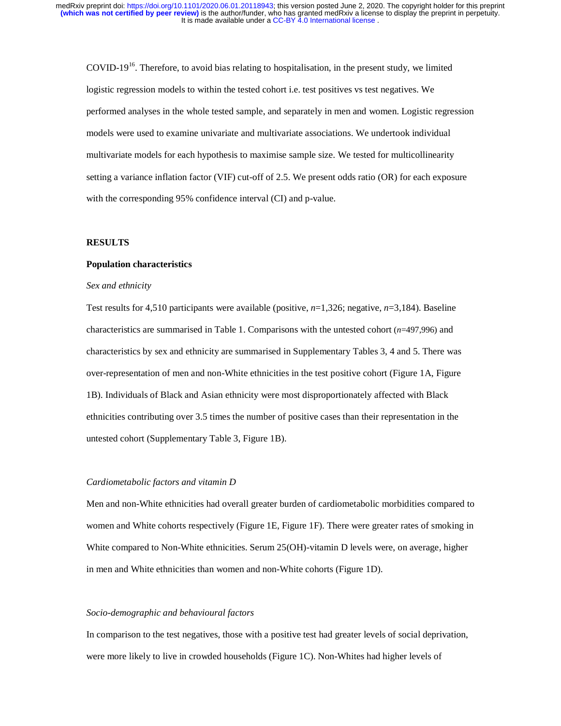COVID-19<sup>16</sup>. Therefore, to avoid bias relating to hospitalisation, in the present study, we limited logistic regression models to within the tested cohort i.e. test positives vs test negatives. We performed analyses in the whole tested sample, and separately in men and women. Logistic regression models were used to examine univariate and multivariate associations. We undertook individual multivariate models for each hypothesis to maximise sample size. We tested for multicollinearity setting a variance inflation factor (VIF) cut-off of 2.5. We present odds ratio (OR) for each exposure with the corresponding 95% confidence interval (CI) and p-value.

## **RESULTS**

#### **Population characteristics**

## *Sex and ethnicity*

Test results for 4,510 participants were available (positive, *n*=1,326; negative, *n*=3,184). Baseline characteristics are summarised in Table 1. Comparisons with the untested cohort (*n*=497,996) and characteristics by sex and ethnicity are summarised in Supplementary Tables 3, 4 and 5. There was over-representation of men and non-White ethnicities in the test positive cohort (Figure 1A, Figure 1B). Individuals of Black and Asian ethnicity were most disproportionately affected with Black ethnicities contributing over 3.5 times the number of positive cases than their representation in the untested cohort (Supplementary Table 3, Figure 1B).

#### *Cardiometabolic factors and vitamin D*

Men and non-White ethnicities had overall greater burden of cardiometabolic morbidities compared to women and White cohorts respectively (Figure 1E, Figure 1F). There were greater rates of smoking in White compared to Non-White ethnicities. Serum 25(OH)-vitamin D levels were, on average, higher in men and White ethnicities than women and non-White cohorts (Figure 1D).

#### *Socio-demographic and behavioural factors*

In comparison to the test negatives, those with a positive test had greater levels of social deprivation, were more likely to live in crowded households (Figure 1C). Non-Whites had higher levels of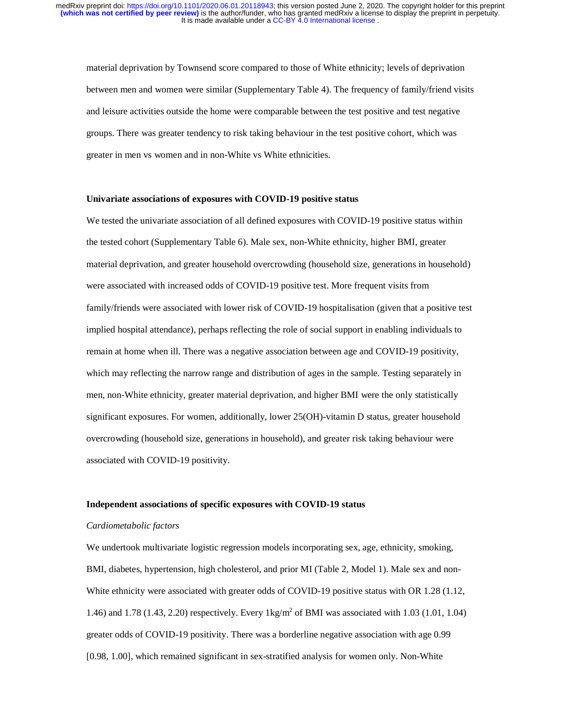material deprivation by Townsend score compared to those of White ethnicity; levels of deprivation between men and women were similar (Supplementary Table 4). The frequency of family/friend visits and leisure activities outside the home were comparable between the test positive and test negative groups. There was greater tendency to risk taking behaviour in the test positive cohort, which was greater in men vs women and in non-White vs White ethnicities.

#### **Univariate associations of exposures with COVID-19 positive status**

We tested the univariate association of all defined exposures with COVID-19 positive status within the tested cohort (Supplementary Table 6). Male sex, non-White ethnicity, higher BMI, greater material deprivation, and greater household overcrowding (household size, generations in household) were associated with increased odds of COVID-19 positive test. More frequent visits from family/friends were associated with lower risk of COVID-19 hospitalisation (given that a positive test implied hospital attendance), perhaps reflecting the role of social support in enabling individuals to remain at home when ill. There was a negative association between age and COVID-19 positivity, which may reflecting the narrow range and distribution of ages in the sample. Testing separately in men, non-White ethnicity, greater material deprivation, and higher BMI were the only statistically significant exposures. For women, additionally, lower 25(OH)-vitamin D status, greater household overcrowding (household size, generations in household), and greater risk taking behaviour were associated with COVID-19 positivity.

### **Independent associations of specific exposures with COVID-19 status**

#### *Cardiometabolic factors*

We undertook multivariate logistic regression models incorporating sex, age, ethnicity, smoking, BMI, diabetes, hypertension, high cholesterol, and prior MI (Table 2, Model 1). Male sex and non-White ethnicity were associated with greater odds of COVID-19 positive status with OR 1.28 (1.12, 1.46) and 1.78 (1.43, 2.20) respectively. Every 1kg/m<sup>2</sup> of BMI was associated with 1.03 (1.01, 1.04) greater odds of COVID-19 positivity. There was a borderline negative association with age 0.99 [0.98, 1.00], which remained significant in sex-stratified analysis for women only. Non-White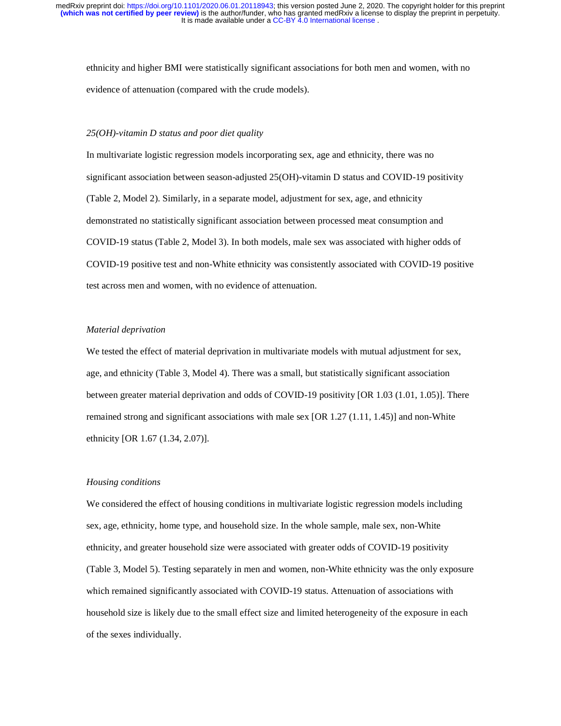ethnicity and higher BMI were statistically significant associations for both men and women, with no evidence of attenuation (compared with the crude models).

#### *25(OH)-vitamin D status and poor diet quality*

In multivariate logistic regression models incorporating sex, age and ethnicity, there was no significant association between season-adjusted 25(OH)-vitamin D status and COVID-19 positivity (Table 2, Model 2). Similarly, in a separate model, adjustment for sex, age, and ethnicity demonstrated no statistically significant association between processed meat consumption and COVID-19 status (Table 2, Model 3). In both models, male sex was associated with higher odds of COVID-19 positive test and non-White ethnicity was consistently associated with COVID-19 positive test across men and women, with no evidence of attenuation.

### *Material deprivation*

We tested the effect of material deprivation in multivariate models with mutual adjustment for sex, age, and ethnicity (Table 3, Model 4). There was a small, but statistically significant association between greater material deprivation and odds of COVID-19 positivity [OR 1.03 (1.01, 1.05)]. There remained strong and significant associations with male sex [OR 1.27 (1.11, 1.45)] and non-White ethnicity [OR 1.67 (1.34, 2.07)].

#### *Housing conditions*

We considered the effect of housing conditions in multivariate logistic regression models including sex, age, ethnicity, home type, and household size. In the whole sample, male sex, non-White ethnicity, and greater household size were associated with greater odds of COVID-19 positivity (Table 3, Model 5). Testing separately in men and women, non-White ethnicity was the only exposure which remained significantly associated with COVID-19 status. Attenuation of associations with household size is likely due to the small effect size and limited heterogeneity of the exposure in each of the sexes individually.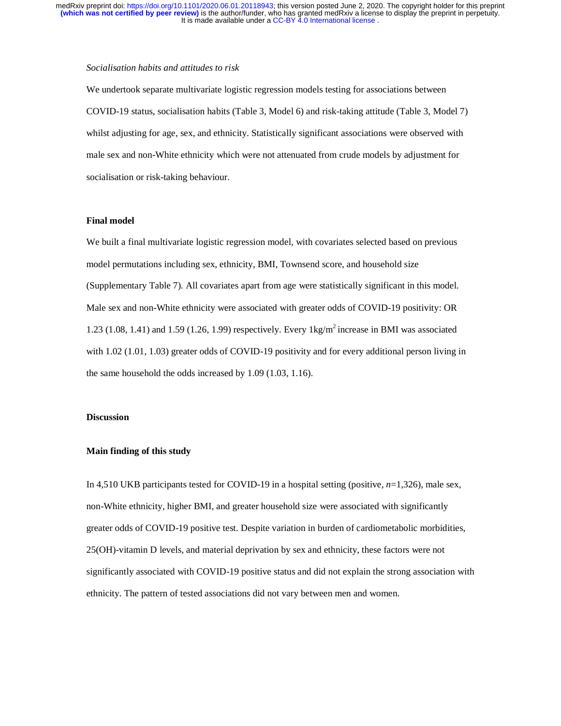### *Socialisation habits and attitudes to risk*

We undertook separate multivariate logistic regression models testing for associations between COVID-19 status, socialisation habits (Table 3, Model 6) and risk-taking attitude (Table 3, Model 7) whilst adjusting for age, sex, and ethnicity. Statistically significant associations were observed with male sex and non-White ethnicity which were not attenuated from crude models by adjustment for socialisation or risk-taking behaviour.

## **Final model**

We built a final multivariate logistic regression model, with covariates selected based on previous model permutations including sex, ethnicity, BMI, Townsend score, and household size (Supplementary Table 7). All covariates apart from age were statistically significant in this model. Male sex and non-White ethnicity were associated with greater odds of COVID-19 positivity: OR 1.23 (1.08, 1.41) and 1.59 (1.26, 1.99) respectively. Every  $1 \text{kg/m}^2$  increase in BMI was associated with 1.02 (1.01, 1.03) greater odds of COVID-19 positivity and for every additional person living in the same household the odds increased by 1.09 (1.03, 1.16).

### **Discussion**

## **Main finding of this study**

In 4,510 UKB participants tested for COVID-19 in a hospital setting (positive, *n*=1,326), male sex, non-White ethnicity, higher BMI, and greater household size were associated with significantly greater odds of COVID-19 positive test. Despite variation in burden of cardiometabolic morbidities, 25(OH)-vitamin D levels, and material deprivation by sex and ethnicity, these factors were not significantly associated with COVID-19 positive status and did not explain the strong association with ethnicity. The pattern of tested associations did not vary between men and women.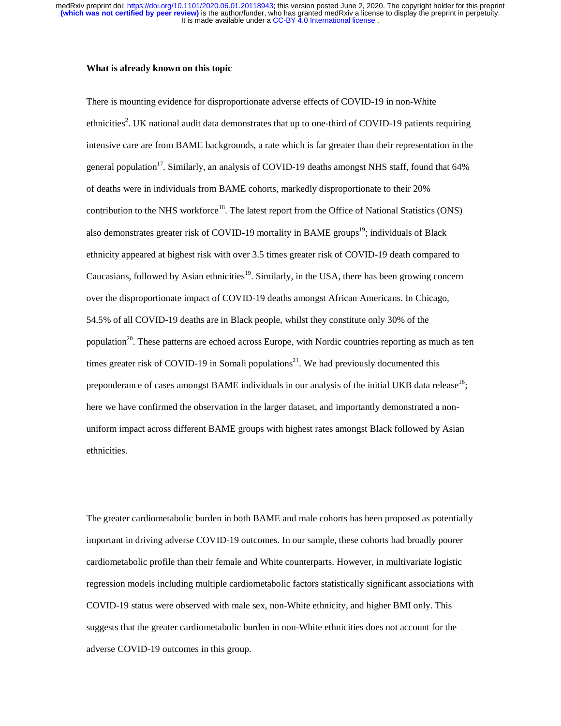### **What is already known on this topic**

There is mounting evidence for disproportionate adverse effects of COVID-19 in non-White ethnicities<sup>2</sup>. UK national audit data demonstrates that up to one-third of COVID-19 patients requiring intensive care are from BAME backgrounds, a rate which is far greater than their representation in the general population<sup>17</sup>. Similarly, an analysis of COVID-19 deaths amongst NHS staff, found that  $64\%$ of deaths were in individuals from BAME cohorts, markedly disproportionate to their 20% contribution to the NHS workforce<sup>18</sup>. The latest report from the Office of National Statistics (ONS) also demonstrates greater risk of COVID-19 mortality in BAME groups<sup>19</sup>; individuals of Black ethnicity appeared at highest risk with over 3.5 times greater risk of COVID-19 death compared to Caucasians, followed by Asian ethnicities<sup>19</sup>. Similarly, in the USA, there has been growing concern over the disproportionate impact of COVID-19 deaths amongst African Americans. In Chicago, 54.5% of all COVID-19 deaths are in Black people, whilst they constitute only 30% of the population<sup>20</sup>. These patterns are echoed across Europe, with Nordic countries reporting as much as ten times greater risk of COVID-19 in Somali populations<sup>21</sup>. We had previously documented this preponderance of cases amongst BAME individuals in our analysis of the initial UKB data release<sup>16</sup>; here we have confirmed the observation in the larger dataset, and importantly demonstrated a nonuniform impact across different BAME groups with highest rates amongst Black followed by Asian ethnicities.

The greater cardiometabolic burden in both BAME and male cohorts has been proposed as potentially important in driving adverse COVID-19 outcomes. In our sample, these cohorts had broadly poorer cardiometabolic profile than their female and White counterparts. However, in multivariate logistic regression models including multiple cardiometabolic factors statistically significant associations with COVID-19 status were observed with male sex, non-White ethnicity, and higher BMI only. This suggests that the greater cardiometabolic burden in non-White ethnicities does not account for the adverse COVID-19 outcomes in this group.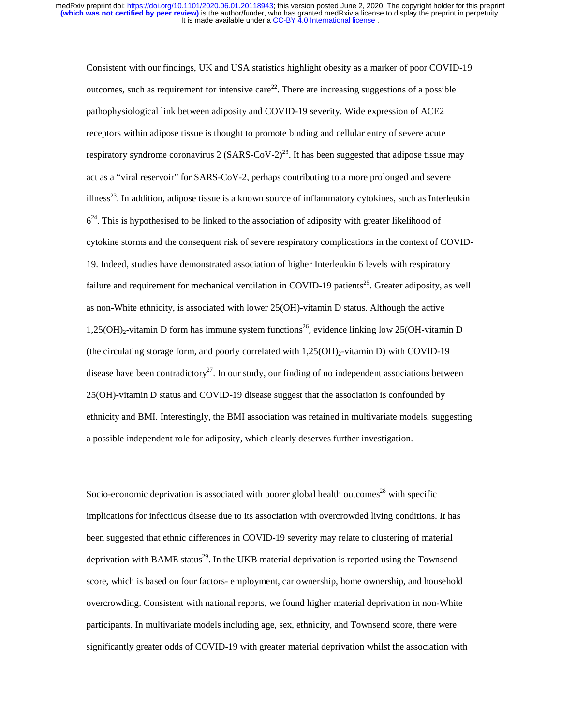Consistent with our findings, UK and USA statistics highlight obesity as a marker of poor COVID-19 outcomes, such as requirement for intensive care<sup>22</sup>. There are increasing suggestions of a possible pathophysiological link between adiposity and COVID-19 severity. Wide expression of ACE2 receptors within adipose tissue is thought to promote binding and cellular entry of severe acute respiratory syndrome coronavirus 2 (SARS-CoV-2)<sup>23</sup>. It has been suggested that adipose tissue may act as a "viral reservoir" for SARS-CoV-2, perhaps contributing to a more prolonged and severe illness<sup>23</sup>. In addition, adipose tissue is a known source of inflammatory cytokines, such as Interleukin  $6<sup>24</sup>$ . This is hypothesised to be linked to the association of adiposity with greater likelihood of cytokine storms and the consequent risk of severe respiratory complications in the context of COVID-19. Indeed, studies have demonstrated association of higher Interleukin 6 levels with respiratory failure and requirement for mechanical ventilation in COVID-19 patients<sup>25</sup>. Greater adiposity, as well as non-White ethnicity, is associated with lower 25(OH)-vitamin D status. Although the active 1,25(OH)<sub>2</sub>-vitamin D form has immune system functions<sup>26</sup>, evidence linking low 25(OH-vitamin D (the circulating storage form, and poorly correlated with  $1,25(OH)<sub>2</sub>-vitanin D$ ) with COVID-19 disease have been contradictory<sup>27</sup>. In our study, our finding of no independent associations between 25(OH)-vitamin D status and COVID-19 disease suggest that the association is confounded by ethnicity and BMI. Interestingly, the BMI association was retained in multivariate models, suggesting a possible independent role for adiposity, which clearly deserves further investigation.

Socio-economic deprivation is associated with poorer global health outcomes<sup>28</sup> with specific implications for infectious disease due to its association with overcrowded living conditions. It has been suggested that ethnic differences in COVID-19 severity may relate to clustering of material deprivation with BAME status<sup>29</sup>. In the UKB material deprivation is reported using the Townsend score, which is based on four factors- employment, car ownership, home ownership, and household overcrowding. Consistent with national reports, we found higher material deprivation in non-White participants. In multivariate models including age, sex, ethnicity, and Townsend score, there were significantly greater odds of COVID-19 with greater material deprivation whilst the association with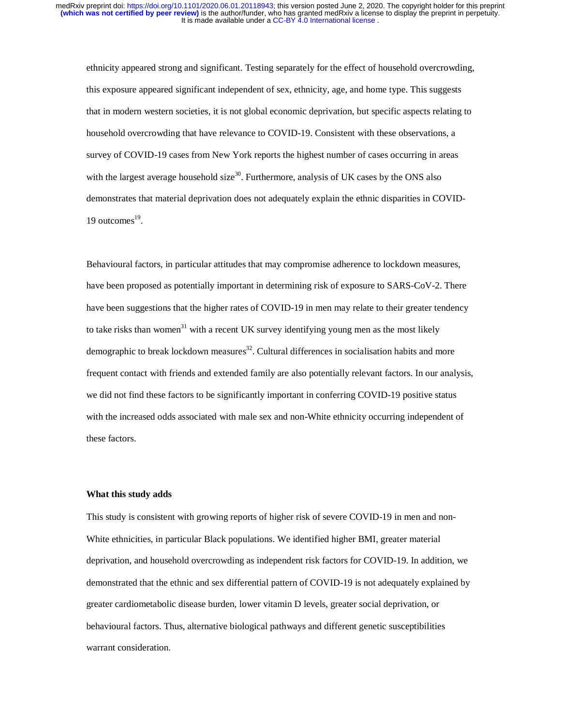ethnicity appeared strong and significant. Testing separately for the effect of household overcrowding, this exposure appeared significant independent of sex, ethnicity, age, and home type. This suggests that in modern western societies, it is not global economic deprivation, but specific aspects relating to household overcrowding that have relevance to COVID-19. Consistent with these observations, a survey of COVID-19 cases from New York reports the highest number of cases occurring in areas with the largest average household size<sup>30</sup>. Furthermore, analysis of UK cases by the ONS also demonstrates that material deprivation does not adequately explain the ethnic disparities in COVID-19 outcomes $^{19}$ .

Behavioural factors, in particular attitudes that may compromise adherence to lockdown measures, have been proposed as potentially important in determining risk of exposure to SARS-CoV-2. There have been suggestions that the higher rates of COVID-19 in men may relate to their greater tendency to take risks than women<sup>31</sup> with a recent UK survey identifying young men as the most likely demographic to break lockdown measures<sup>32</sup>. Cultural differences in socialisation habits and more frequent contact with friends and extended family are also potentially relevant factors. In our analysis, we did not find these factors to be significantly important in conferring COVID-19 positive status with the increased odds associated with male sex and non-White ethnicity occurring independent of these factors.

#### **What this study adds**

This study is consistent with growing reports of higher risk of severe COVID-19 in men and non-White ethnicities, in particular Black populations. We identified higher BMI, greater material deprivation, and household overcrowding as independent risk factors for COVID-19. In addition, we demonstrated that the ethnic and sex differential pattern of COVID-19 is not adequately explained by greater cardiometabolic disease burden, lower vitamin D levels, greater social deprivation, or behavioural factors. Thus, alternative biological pathways and different genetic susceptibilities warrant consideration.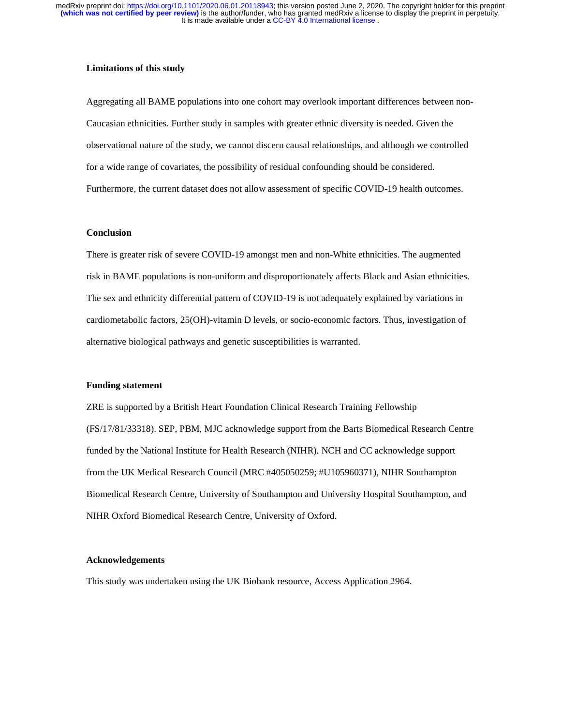### **Limitations of this study**

Aggregating all BAME populations into one cohort may overlook important differences between non-Caucasian ethnicities. Further study in samples with greater ethnic diversity is needed. Given the observational nature of the study, we cannot discern causal relationships, and although we controlled for a wide range of covariates, the possibility of residual confounding should be considered. Furthermore, the current dataset does not allow assessment of specific COVID-19 health outcomes.

## **Conclusion**

There is greater risk of severe COVID-19 amongst men and non-White ethnicities. The augmented risk in BAME populations is non-uniform and disproportionately affects Black and Asian ethnicities. The sex and ethnicity differential pattern of COVID-19 is not adequately explained by variations in cardiometabolic factors, 25(OH)-vitamin D levels, or socio-economic factors. Thus, investigation of alternative biological pathways and genetic susceptibilities is warranted.

#### **Funding statement**

ZRE is supported by a British Heart Foundation Clinical Research Training Fellowship (FS/17/81/33318). SEP, PBM, MJC acknowledge support from the Barts Biomedical Research Centre funded by the National Institute for Health Research (NIHR). NCH and CC acknowledge support from the UK Medical Research Council (MRC #405050259; #U105960371), NIHR Southampton Biomedical Research Centre, University of Southampton and University Hospital Southampton, and NIHR Oxford Biomedical Research Centre, University of Oxford.

### **Acknowledgements**

This study was undertaken using the UK Biobank resource, Access Application 2964.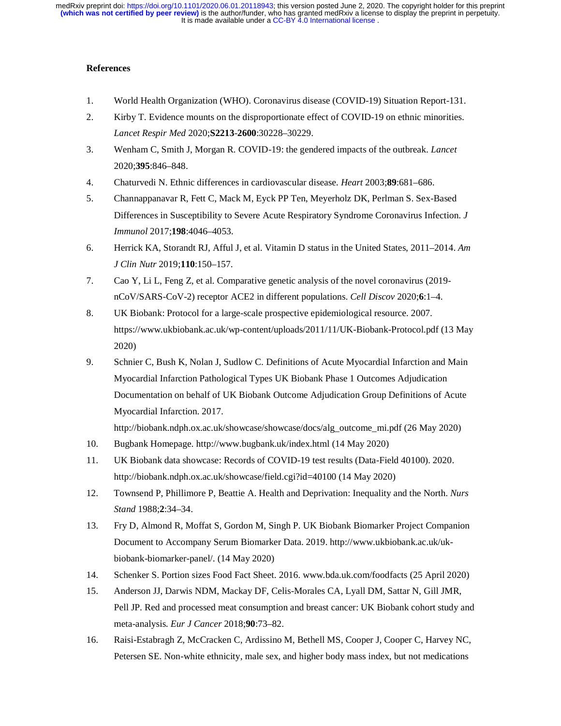# **References**

- 1. World Health Organization (WHO). Coronavirus disease (COVID-19) Situation Report-131.
- 2. Kirby T. Evidence mounts on the disproportionate effect of COVID-19 on ethnic minorities. *Lancet Respir Med* 2020;**S2213**-**2600**:30228–30229.
- 3. Wenham C, Smith J, Morgan R. COVID-19: the gendered impacts of the outbreak. *Lancet* 2020;**395**:846–848.
- 4. Chaturvedi N. Ethnic differences in cardiovascular disease. *Heart* 2003;**89**:681–686.
- 5. Channappanavar R, Fett C, Mack M, Eyck PP Ten, Meyerholz DK, Perlman S. Sex-Based Differences in Susceptibility to Severe Acute Respiratory Syndrome Coronavirus Infection. *J Immunol* 2017;**198**:4046–4053.
- 6. Herrick KA, Storandt RJ, Afful J, et al. Vitamin D status in the United States, 2011–2014. *Am J Clin Nutr* 2019;**110**:150–157.
- 7. Cao Y, Li L, Feng Z, et al. Comparative genetic analysis of the novel coronavirus (2019 nCoV/SARS-CoV-2) receptor ACE2 in different populations. *Cell Discov* 2020;**6**:1–4.
- 8. UK Biobank: Protocol for a large-scale prospective epidemiological resource. 2007. https://www.ukbiobank.ac.uk/wp-content/uploads/2011/11/UK-Biobank-Protocol.pdf (13 May 2020)
- 9. Schnier C, Bush K, Nolan J, Sudlow C. Definitions of Acute Myocardial Infarction and Main Myocardial Infarction Pathological Types UK Biobank Phase 1 Outcomes Adjudication Documentation on behalf of UK Biobank Outcome Adjudication Group Definitions of Acute Myocardial Infarction. 2017.

http://biobank.ndph.ox.ac.uk/showcase/showcase/docs/alg\_outcome\_mi.pdf (26 May 2020)

- 10. Bugbank Homepage. http://www.bugbank.uk/index.html (14 May 2020)
- 11. UK Biobank data showcase: Records of COVID-19 test results (Data-Field 40100). 2020. http://biobank.ndph.ox.ac.uk/showcase/field.cgi?id=40100 (14 May 2020)
- 12. Townsend P, Phillimore P, Beattie A. Health and Deprivation: Inequality and the North. *Nurs Stand* 1988;**2**:34–34.
- 13. Fry D, Almond R, Moffat S, Gordon M, Singh P. UK Biobank Biomarker Project Companion Document to Accompany Serum Biomarker Data. 2019. http://www.ukbiobank.ac.uk/ukbiobank-biomarker-panel/. (14 May 2020)
- 14. Schenker S. Portion sizes Food Fact Sheet. 2016. www.bda.uk.com/foodfacts (25 April 2020)
- 15. Anderson JJ, Darwis NDM, Mackay DF, Celis-Morales CA, Lyall DM, Sattar N, Gill JMR, Pell JP. Red and processed meat consumption and breast cancer: UK Biobank cohort study and meta-analysis. *Eur J Cancer* 2018;**90**:73–82.
- 16. Raisi-Estabragh Z, McCracken C, Ardissino M, Bethell MS, Cooper J, Cooper C, Harvey NC, Petersen SE. Non-white ethnicity, male sex, and higher body mass index, but not medications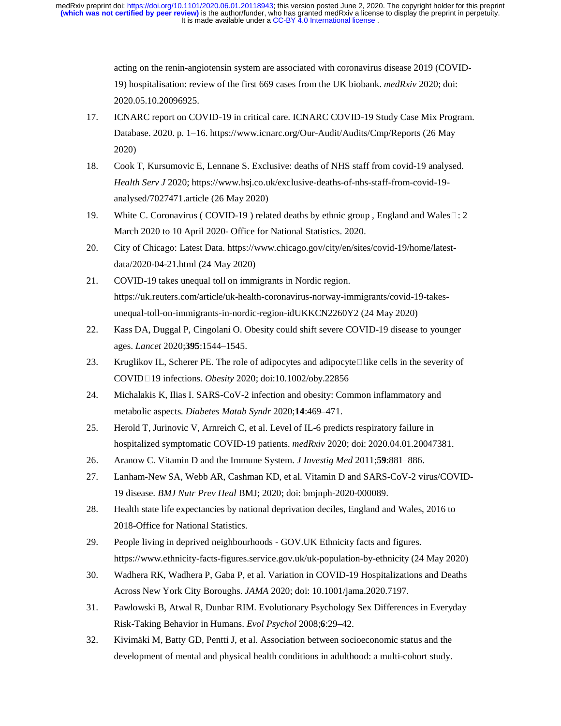> acting on the renin-angiotensin system are associated with coronavirus disease 2019 (COVID-19) hospitalisation: review of the first 669 cases from the UK biobank. *medRxiv* 2020; doi: 2020.05.10.20096925.

- 17. ICNARC report on COVID-19 in critical care. ICNARC COVID-19 Study Case Mix Program. Database. 2020. p. 1–16. https://www.icnarc.org/Our-Audit/Audits/Cmp/Reports (26 May 2020)
- 18. Cook T, Kursumovic E, Lennane S. Exclusive: deaths of NHS staff from covid-19 analysed. *Health Serv J* 2020; https://www.hsj.co.uk/exclusive-deaths-of-nhs-staff-from-covid-19 analysed/7027471.article (26 May 2020)
- 19. White C. Coronavirus ( COVID-19 ) related deaths by ethnic group, England and Wales $\Box$ : 2 March 2020 to 10 April 2020- Office for National Statistics. 2020.
- 20. City of Chicago: Latest Data. https://www.chicago.gov/city/en/sites/covid-19/home/latestdata/2020-04-21.html (24 May 2020)
- 21. COVID-19 takes unequal toll on immigrants in Nordic region. https://uk.reuters.com/article/uk-health-coronavirus-norway-immigrants/covid-19-takesunequal-toll-on-immigrants-in-nordic-region-idUKKCN2260Y2 (24 May 2020)
- 22. Kass DA, Duggal P, Cingolani O. Obesity could shift severe COVID-19 disease to younger ages. *Lancet* 2020;**395**:1544–1545.
- 23. Kruglikov IL, Scherer PE. The role of adipocytes and adipocyte  $\Box$  like cells in the severity of COVID19 infections. *Obesity* 2020; doi:10.1002/oby.22856
- 24. Michalakis K, Ilias I. SARS-CoV-2 infection and obesity: Common inflammatory and metabolic aspects. *Diabetes Matab Syndr* 2020;**14**:469–471.
- 25. Herold T, Jurinovic V, Arnreich C, et al. Level of IL-6 predicts respiratory failure in hospitalized symptomatic COVID-19 patients. *medRxiv* 2020; doi: 2020.04.01.20047381.
- 26. Aranow C. Vitamin D and the Immune System. *J Investig Med* 2011;**59**:881–886.
- 27. Lanham-New SA, Webb AR, Cashman KD, et al. Vitamin D and SARS-CoV-2 virus/COVID-19 disease. *BMJ Nutr Prev Heal* BMJ; 2020; doi: bmjnph-2020-000089.
- 28. Health state life expectancies by national deprivation deciles, England and Wales, 2016 to 2018-Office for National Statistics.
- 29. People living in deprived neighbourhoods GOV.UK Ethnicity facts and figures. https://www.ethnicity-facts-figures.service.gov.uk/uk-population-by-ethnicity (24 May 2020)
- 30. Wadhera RK, Wadhera P, Gaba P, et al. Variation in COVID-19 Hospitalizations and Deaths Across New York City Boroughs. *JAMA* 2020; doi: 10.1001/jama.2020.7197.
- 31. Pawlowski B, Atwal R, Dunbar RIM. Evolutionary Psychology Sex Differences in Everyday Risk-Taking Behavior in Humans. *Evol Psychol* 2008;**6**:29–42.
- 32. Kivimäki M, Batty GD, Pentti J, et al. Association between socioeconomic status and the development of mental and physical health conditions in adulthood: a multi-cohort study.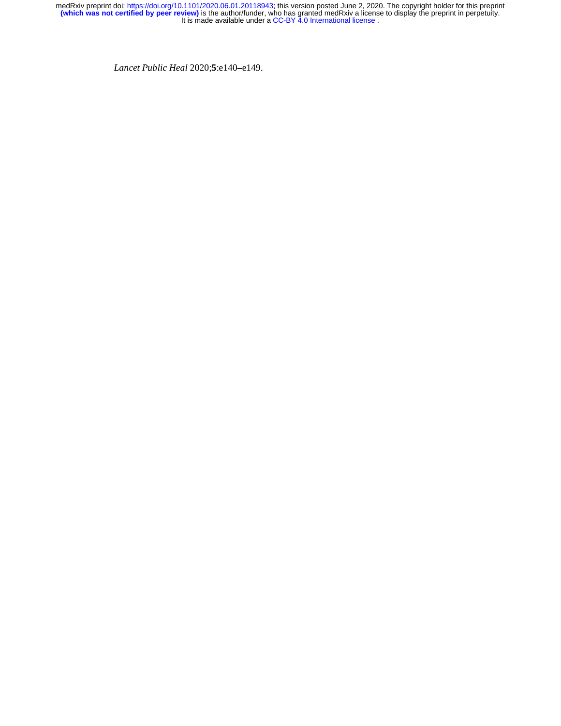*Lancet Public Heal* 2020;**5**:e140–e149.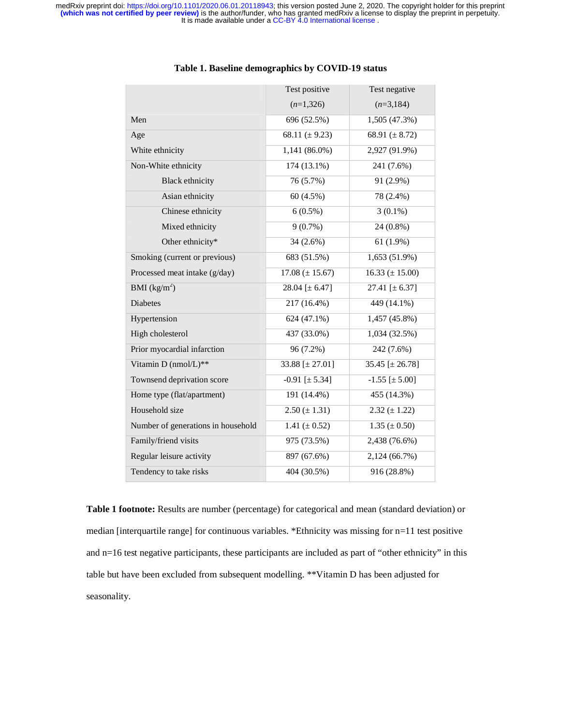|                                    | Test positive         | Test negative          |
|------------------------------------|-----------------------|------------------------|
|                                    | $(n=1,326)$           | $(n=3,184)$            |
| Men                                | 696 (52.5%)           | 1,505 (47.3%)          |
| Age                                | 68.11 ( $\pm$ 9.23)   | 68.91 $(\pm 8.72)$     |
| White ethnicity                    | 1,141 (86.0%)         | 2,927 (91.9%)          |
| Non-White ethnicity                | 174 (13.1%)           | 241 (7.6%)             |
| <b>Black ethnicity</b>             | 76 (5.7%)             | 91 (2.9%)              |
| Asian ethnicity                    | 60 (4.5%)             | 78 (2.4%)              |
| Chinese ethnicity                  | $6(0.5\%)$            | $3(0.1\%)$             |
| Mixed ethnicity                    | $9(0.7\%)$            | 24 (0.8%)              |
| Other ethnicity*                   | 34 (2.6%)             | 61(1.9%)               |
| Smoking (current or previous)      | 683 (51.5%)           | $1,653(51.9\%)$        |
| Processed meat intake (g/day)      | $17.08 (\pm 15.67)$   | $16.33 \ (\pm 15.00)$  |
| BMI $(kg/m^2)$                     | 28.04 [ $\pm$ 6.47]   | 27.41 [ $\pm$ 6.37]    |
| <b>Diabetes</b>                    | 217 (16.4%)           | 449 (14.1%)            |
| Hypertension                       | 624 (47.1%)           | 1,457 (45.8%)          |
| High cholesterol                   | 437 (33.0%)           | 1,034(32.5%)           |
| Prior myocardial infarction        | 96 (7.2%)             | 242 (7.6%)             |
| Vitamin D (nmol/L)**               | 33.88 [ $\pm$ 27.01]  | 35.45 $[\pm 26.78]$    |
| Townsend deprivation score         | $-0.91$ [ $\pm$ 5.34] | $-1.55$ [ $\pm 5.00$ ] |
| Home type (flat/apartment)         | 191 (14.4%)           | 455 (14.3%)            |
| Household size                     | $2.50 (\pm 1.31)$     | $2.32 (\pm 1.22)$      |
| Number of generations in household | 1.41 ( $\pm$ 0.52)    | $1.35 \ (\pm 0.50)$    |
| Family/friend visits               | 975 (73.5%)           | 2,438 (76.6%)          |
| Regular leisure activity           | 897 (67.6%)           | 2,124 (66.7%)          |
| Tendency to take risks             | 404 (30.5%)           | 916 (28.8%)            |
|                                    |                       |                        |

## **Table 1. Baseline demographics by COVID-19 status**

**Table 1 footnote:** Results are number (percentage) for categorical and mean (standard deviation) or median [interquartile range] for continuous variables. \*Ethnicity was missing for n=11 test positive and n=16 test negative participants, these participants are included as part of "other ethnicity" in this table but have been excluded from subsequent modelling. \*\*Vitamin D has been adjusted for seasonality.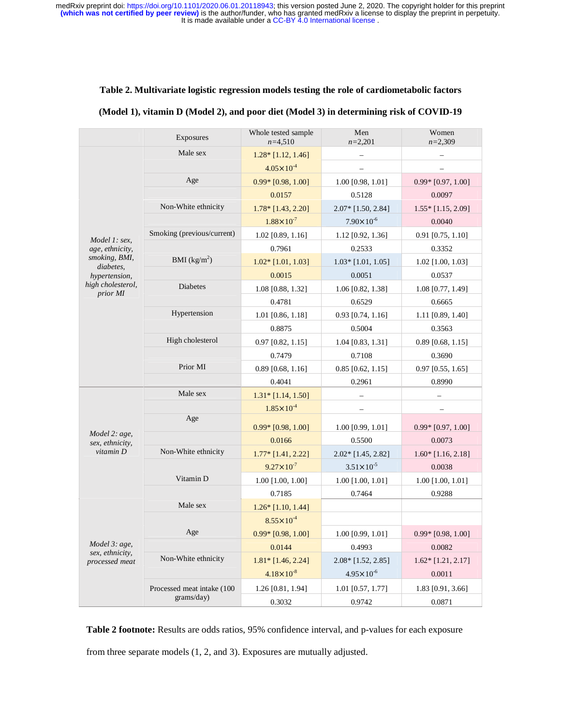# **Table 2. Multivariate logistic regression models testing the role of cardiometabolic factors**

| (Model 1), vitamin D (Model 2), and poor diet (Model 3) in determining risk of COVID-19 |  |  |
|-----------------------------------------------------------------------------------------|--|--|
|                                                                                         |  |  |

|                                                                                                                  | Exposures                  | Whole tested sample<br>$n=4,510$ | Men<br>$n=2,201$       | Women<br>$n=2.309$   |
|------------------------------------------------------------------------------------------------------------------|----------------------------|----------------------------------|------------------------|----------------------|
| Model 1: sex,<br>age, ethnicity,<br>smoking, BMI,<br>diabetes,<br>hypertension,<br>high cholesterol,<br>prior MI | Male sex                   | $1.28*$ [1.12, 1.46]             |                        |                      |
|                                                                                                                  |                            | $4.05 \times 10^{-4}$            |                        |                      |
|                                                                                                                  | Age                        | $0.99*$ [0.98, 1.00]             | 1.00 [0.98, 1.01]      | $0.99*$ [0.97, 1.00] |
|                                                                                                                  |                            | 0.0157                           | 0.5128                 | 0.0097               |
|                                                                                                                  | Non-White ethnicity        | 1.78* [1.43, 2.20]               | 2.07* [1.50, 2.84]     | $1.55*$ [1.15, 2.09] |
|                                                                                                                  |                            | $1.88 \times 10^{-7}$            | $7.90 \times 10^{-6}$  | 0.0040               |
|                                                                                                                  | Smoking (previous/current) | $1.02$ [0.89, 1.16]              | 1.12 [0.92, 1.36]      | $0.91$ [0.75, 1.10]  |
|                                                                                                                  |                            | 0.7961                           | 0.2533                 | 0.3352               |
|                                                                                                                  | BMI $(kg/m^2)$             | $1.02*$ [1.01, 1.03]             | $1.03*$ [1.01, 1.05]   | 1.02 [1.00, 1.03]    |
|                                                                                                                  |                            | 0.0015                           | 0.0051                 | 0.0537               |
|                                                                                                                  | <b>Diabetes</b>            | 1.08 [0.88, 1.32]                | 1.06 [0.82, 1.38]      | 1.08 [0.77, 1.49]    |
|                                                                                                                  |                            | 0.4781                           | 0.6529                 | 0.6665               |
|                                                                                                                  | Hypertension               | 1.01 [0.86, 1.18]                | $0.93$ [0.74, 1.16]    | 1.11 [0.89, 1.40]    |
|                                                                                                                  |                            | 0.8875                           | 0.5004                 | 0.3563               |
|                                                                                                                  | High cholesterol           | $0.97$ [0.82, 1.15]              | 1.04 [0.83, 1.31]      | $0.89$ [0.68, 1.15]  |
|                                                                                                                  |                            | 0.7479                           | 0.7108                 | 0.3690               |
|                                                                                                                  | Prior MI                   | $0.89$ [0.68, 1.16]              | $0.85$ [0.62, 1.15]    | $0.97$ [0.55, 1.65]  |
|                                                                                                                  |                            | 0.4041                           | 0.2961                 | 0.8990               |
|                                                                                                                  | Male sex                   | $1.31*$ [1.14, 1.50]             |                        |                      |
|                                                                                                                  |                            | $1.85 \times 10^{-4}$            | -                      |                      |
|                                                                                                                  | Age                        | $0.99*$ [0.98, 1.00]             | 1.00 [0.99, 1.01]      | $0.99*$ [0.97, 1.00] |
| Model 2: age,<br>sex, ethnicity,                                                                                 |                            | 0.0166                           | 0.5500                 | 0.0073               |
| $vitamin$ $D$                                                                                                    | Non-White ethnicity        | 1.77* [1.41, 2.22]               | 2.02* [1.45, 2.82]     | $1.60*$ [1.16, 2.18] |
|                                                                                                                  |                            | $9.27 \times 10^{-7}$            | $3.51 \times 10^{-5}$  | 0.0038               |
|                                                                                                                  | Vitamin D                  | 1.00 [1.00, 1.00]                | 1.00 [1.00, 1.01]      | 1.00 [1.00, 1.01]    |
|                                                                                                                  |                            | 0.7185                           | 0.7464                 | 0.9288               |
|                                                                                                                  | Male sex                   | $1.26*$ [1.10, 1.44]             |                        |                      |
|                                                                                                                  |                            | $8.55 \times 10^{-4}$            |                        |                      |
| Model 3: age,<br>sex, ethnicity,<br>processed meat                                                               | Age                        | $0.99*$ [0.98, 1.00]             | $1.00$ [0.99, $1.01$ ] | $0.99*$ [0.98, 1.00] |
|                                                                                                                  |                            | 0.0144                           | 0.4993                 | 0.0082               |
|                                                                                                                  | Non-White ethnicity        | $1.81*$ [1.46, 2.24]             | 2.08* [1.52, 2.85]     | $1.62*$ [1.21, 2.17] |
|                                                                                                                  |                            | $4.18 \times 10^{-8}$            | $4.95 \times 10^{-6}$  | 0.0011               |
|                                                                                                                  | Processed meat intake (100 | 1.26 [0.81, 1.94]                | 1.01 [0.57, 1.77]      | 1.83 [0.91, 3.66]    |
|                                                                                                                  | grams/day)                 | 0.3032                           | 0.9742                 | 0.0871               |

**Table 2 footnote:** Results are odds ratios, 95% confidence interval, and p-values for each exposure from three separate models (1, 2, and 3). Exposures are mutually adjusted.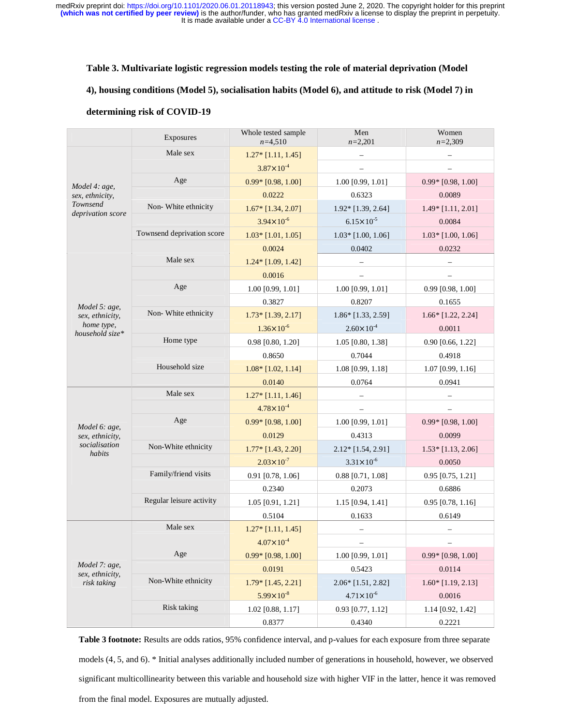#### **Table 3. Multivariate logistic regression models testing the role of material deprivation (Model**

# **4), housing conditions (Model 5), socialisation habits (Model 6), and attitude to risk (Model 7) in**

### **determining risk of COVID-19**

|                                                                   | Exposures                  | Whole tested sample<br>$n=4,510$ | Men<br>$n=2,201$         | Women<br>$n=2,309$       |
|-------------------------------------------------------------------|----------------------------|----------------------------------|--------------------------|--------------------------|
| Model 4: age,<br>sex, ethnicity,<br>Townsend<br>deprivation score | Male sex                   | $1.27*$ [1.11, 1.45]             |                          |                          |
|                                                                   |                            | $3.87 \times 10^{-4}$            | $\overline{\phantom{0}}$ |                          |
|                                                                   | Age                        | $0.99*$ [0.98, 1.00]             | 1.00 [0.99, 1.01]        | $0.99*$ [0.98, 1.00]     |
|                                                                   |                            | 0.0222                           | 0.6323                   | 0.0089                   |
|                                                                   | Non-White ethnicity        | $1.67*$ [1.34, 2.07]             | 1.92* [1.39, 2.64]       | $1.49*$ [1.11, 2.01]     |
|                                                                   |                            | $3.94 \times 10^{-6}$            | $6.15 \times 10^{-5}$    | 0.0084                   |
|                                                                   | Townsend deprivation score | $1.03*$ [1.01, 1.05]             | $1.03*$ [1.00, 1.06]     | $1.03*$ [1.00, 1.06]     |
|                                                                   |                            | 0.0024                           | 0.0402                   | 0.0232                   |
|                                                                   | Male sex                   | $1.24*$ [1.09, 1.42]             |                          |                          |
|                                                                   |                            | 0.0016                           |                          | $\overline{\phantom{0}}$ |
|                                                                   | Age                        | 1.00 [0.99, 1.01]                | 1.00 [0.99, 1.01]        | 0.99 [0.98, 1.00]        |
| Model 5: age,<br>sex, ethnicity,<br>home type,<br>household size* |                            | 0.3827                           | 0.8207                   | 0.1655                   |
|                                                                   | Non-White ethnicity        | $1.73*$ [1.39, 2.17]             | 1.86* [1.33, 2.59]       | $1.66*$ [1.22, 2.24]     |
|                                                                   |                            | $1.36 \times 10^{-6}$            | $2.60 \times 10^{-4}$    | 0.0011                   |
|                                                                   | Home type                  | 0.98 [0.80, 1.20]                | 1.05 [0.80, 1.38]        | 0.90 [0.66, 1.22]        |
|                                                                   |                            | 0.8650                           | 0.7044                   | 0.4918                   |
|                                                                   | Household size             | $1.08*$ [1.02, 1.14]             | 1.08 [0.99, 1.18]        | 1.07 [0.99, 1.16]        |
|                                                                   |                            | 0.0140                           | 0.0764                   | 0.0941                   |
|                                                                   | Male sex                   | $1.27*$ [1.11, 1.46]             |                          |                          |
|                                                                   |                            | $4.78 \times 10^{-4}$            | $\qquad \qquad -$        |                          |
| Model 6: age,                                                     | Age                        | $0.99*$ [0.98, 1.00]             | 1.00 [0.99, 1.01]        | $0.99*$ [0.98, 1.00]     |
| sex, ethnicity,                                                   |                            | 0.0129                           | 0.4313                   | 0.0099                   |
| socialisation<br>habits                                           | Non-White ethnicity        | 1.77* [1.43, 2.20]               | $2.12*$ [1.54, 2.91]     | $1.53*$ [1.13, 2.06]     |
|                                                                   |                            | $2.03 \times 10^{-7}$            | $3.31 \times 10^{-6}$    | 0.0050                   |
|                                                                   | Family/friend visits       | $0.91$ [0.78, 1.06]              | $0.88$ [0.71, 1.08]      | 0.95 [0.75, 1.21]        |
|                                                                   |                            | 0.2340                           | 0.2073                   | 0.6886                   |
|                                                                   | Regular leisure activity   | 1.05 [0.91, 1.21]                | 1.15 [0.94, 1.41]        | $0.95$ [0.78, 1.16]      |
|                                                                   |                            | 0.5104                           | 0.1633                   | 0.6149                   |
|                                                                   | Male sex                   | $1.27*$ [1.11, 1.45]             |                          |                          |
|                                                                   |                            | $4.07 \times 10^{-4}$            | $\overline{\phantom{a}}$ | $\qquad \qquad -$        |
| Model 7: age,<br>sex, ethnicity,<br>risk taking                   | Age                        | $0.99*$ [0.98, 1.00]             | 1.00 [0.99, 1.01]        | $0.99*$ [0.98, 1.00]     |
|                                                                   |                            | 0.0191                           | 0.5423                   | 0.0114                   |
|                                                                   | Non-White ethnicity        | $1.79*$ [1.45, 2.21]             | 2.06* [1.51, 2.82]       | $1.60*$ [1.19, 2.13]     |
|                                                                   |                            | $5.99 \times 10^{-8}$            | $4.71 \times 10^{-6}$    | 0.0016                   |
|                                                                   | <b>Risk taking</b>         | 1.02 [0.88, 1.17]                | 0.93 [0.77, 1.12]        | 1.14 [0.92, 1.42]        |
|                                                                   |                            |                                  |                          |                          |

**Table 3 footnote:** Results are odds ratios, 95% confidence interval, and p-values for each exposure from three separate models (4, 5, and 6). \* Initial analyses additionally included number of generations in household, however, we observed significant multicollinearity between this variable and household size with higher VIF in the latter, hence it was removed from the final model. Exposures are mutually adjusted.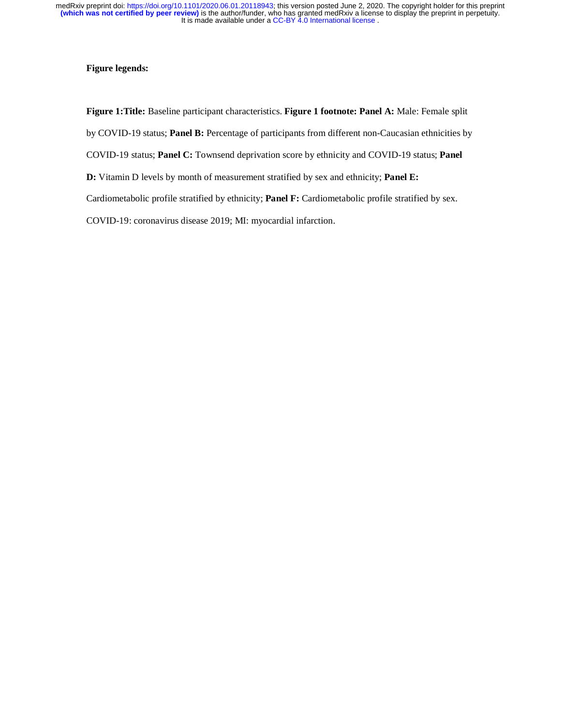## **Figure legends:**

**Figure 1:Title:** Baseline participant characteristics. **Figure 1 footnote: Panel A:** Male: Female split by COVID-19 status; **Panel B:** Percentage of participants from different non-Caucasian ethnicities by COVID-19 status; **Panel C:** Townsend deprivation score by ethnicity and COVID-19 status; **Panel D:** Vitamin D levels by month of measurement stratified by sex and ethnicity; **Panel E:**

Cardiometabolic profile stratified by ethnicity; **Panel F:** Cardiometabolic profile stratified by sex.

COVID-19: coronavirus disease 2019; MI: myocardial infarction.